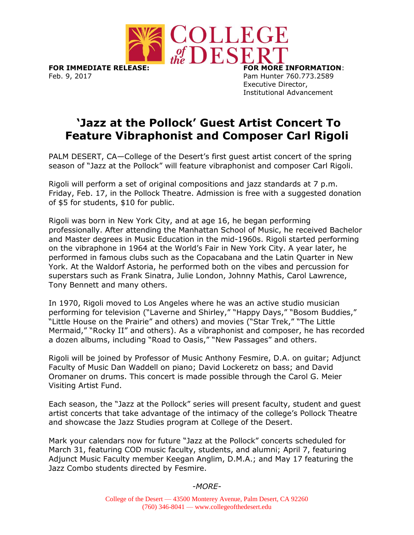

**FOR IMMEDIATE RELEASE: FOR MORE INFORMATION**: Feb. 9, 2017 **Pam Hunter 760.773.2589** 

Executive Director, Institutional Advancement

## **'Jazz at the Pollock' Guest Artist Concert To Feature Vibraphonist and Composer Carl Rigoli**

PALM DESERT, CA—College of the Desert's first guest artist concert of the spring season of "Jazz at the Pollock" will feature vibraphonist and composer Carl Rigoli.

Rigoli will perform a set of original compositions and jazz standards at 7 p.m. Friday, Feb. 17, in the Pollock Theatre. Admission is free with a suggested donation of \$5 for students, \$10 for public.

Rigoli was born in New York City, and at age 16, he began performing professionally. After attending the Manhattan School of Music, he received Bachelor and Master degrees in Music Education in the mid-1960s. Rigoli started performing on the vibraphone in 1964 at the World's Fair in New York City. A year later, he performed in famous clubs such as the Copacabana and the Latin Quarter in New York. At the Waldorf Astoria, he performed both on the vibes and percussion for superstars such as Frank Sinatra, Julie London, Johnny Mathis, Carol Lawrence, Tony Bennett and many others.

In 1970, Rigoli moved to Los Angeles where he was an active studio musician performing for television ("Laverne and Shirley," "Happy Days," "Bosom Buddies," "Little House on the Prairie" and others) and movies ("Star Trek," "The Little Mermaid," "Rocky II" and others). As a vibraphonist and composer, he has recorded a dozen albums, including "Road to Oasis," "New Passages" and others.

Rigoli will be joined by Professor of Music Anthony Fesmire, D.A. on guitar; Adjunct Faculty of Music Dan Waddell on piano; David Lockeretz on bass; and David Oromaner on drums. This concert is made possible through the Carol G. Meier Visiting Artist Fund.

Each season, the "Jazz at the Pollock" series will present faculty, student and guest artist concerts that take advantage of the intimacy of the college's Pollock Theatre and showcase the Jazz Studies program at College of the Desert.

Mark your calendars now for future "Jazz at the Pollock" concerts scheduled for March 31, featuring COD music faculty, students, and alumni; April 7, featuring Adjunct Music Faculty member Keegan Anglim, D.M.A.; and May 17 featuring the Jazz Combo students directed by Fesmire.

## *-MORE-*